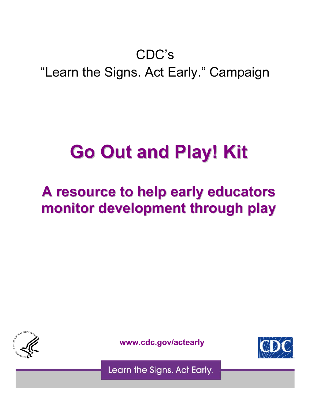#### CDC's "Learn the Signs. Act Early." Campaign

# **Go Out and Play! Kit**

#### **A resource to help early educators monitor development through play**



**www.cdc.gov/actearly** 



Learn the Signs. Act Early.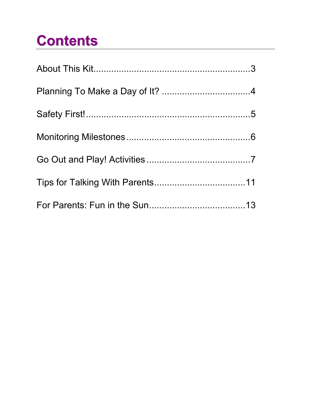#### **Contents**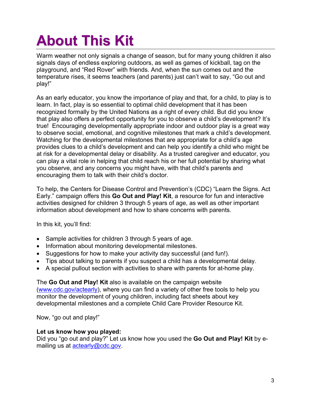## **About This Kit**

Warm weather not only signals a change of season, but for many young children it also signals days of endless exploring outdoors, as well as games of kickball, tag on the playground, and "Red Rover" with friends. And, when the sun comes out and the temperature rises, it seems teachers (and parents) just can't wait to say, "Go out and play!"

As an early educator, you know the importance of play and that, for a child, to play is to learn. In fact, play is so essential to optimal child development that it has been recognized formally by the United Nations as a right of every child. But did you know that play also offers a perfect opportunity for you to observe a child's development? It's true! Encouraging developmentally appropriate indoor and outdoor play is a great way to observe social, emotional, and cognitive milestones that mark a child's development. Watching for the developmental milestones that are appropriate for a child's age provides clues to a child's development and can help you identify a child who might be at risk for a developmental delay or disability. As a trusted caregiver and educator, you can play a vital role in helping that child reach his or her full potential by sharing what you observe, and any concerns you might have, with that child's parents and encouraging them to talk with their child's doctor.

To help, the Centers for Disease Control and Prevention's (CDC) "Learn the Signs. Act Early." campaign offers this **Go Out and Play! Kit**, a resource for fun and interactive activities designed for children 3 through 5 years of age, as well as other important information about development and how to share concerns with parents.

In this kit, you'll find:

- Sample activities for children 3 through 5 years of age.
- Information about monitoring developmental milestones.
- Suggestions for how to make your activity day successful (and fun!).
- Tips about talking to parents if you suspect a child has a developmental delay.
- A special pullout section with activities to share with parents for at-home play.

The **Go Out and Play! Kit** also is available on the campaign website (www.cdc.gov/actearly), where you can find a variety of other free tools to help you monitor the development of young children, including fact sheets about key developmental milestones and a complete Child Care Provider Resource Kit.

Now, "go out and play!"

#### **Let us know how you played:**

Did you "go out and play?" Let us know how you used the **Go Out and Play! Kit** by emailing us at actearly@cdc.gov.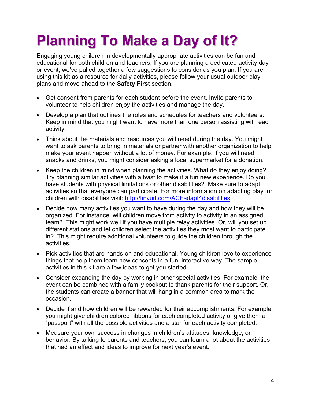### **Planning To Make a Day of It?**

Engaging young children in developmentally appropriate activities can be fun and educational for both children and teachers. If you are planning a dedicated activity day or event, we've pulled together a few suggestions to consider as you plan. If you are using this kit as a resource for daily activities, please follow your usual outdoor play plans and move ahead to the **Safety First** section.

- Get consent from parents for each student before the event. Invite parents to volunteer to help children enjoy the activities and manage the day.
- Develop a plan that outlines the roles and schedules for teachers and volunteers. Keep in mind that you might want to have more than one person assisting with each activity.
- Think about the materials and resources you will need during the day. You might want to ask parents to bring in materials or partner with another organization to help make your event happen without a lot of money. For example, if you will need snacks and drinks, you might consider asking a local supermarket for a donation.
- Keep the children in mind when planning the activities. What do they enjoy doing? Try planning similar activities with a twist to make it a fun new experience. Do you have students with physical limitations or other disabilities? Make sure to adapt activities so that everyone can participate. For more information on adapting play for children with disabilities visit: http://tinyurl.com/ACFadapt4disabilities
- Decide how many activities you want to have during the day and how they will be organized. For instance, will children move from activity to activity in an assigned team? This might work well if you have multiple relay activities. Or, will you set up different stations and let children select the activities they most want to participate in? This might require additional volunteers to guide the children through the activities.
- Pick activities that are hands-on and educational. Young children love to experience things that help them learn new concepts in a fun, interactive way. The sample activities in this kit are a few ideas to get you started.
- Consider expanding the day by working in other special activities. For example, the event can be combined with a family cookout to thank parents for their support. Or, the students can create a banner that will hang in a common area to mark the occasion.
- Decide if and how children will be rewarded for their accomplishments. For example, you might give children colored ribbons for each completed activity or give them a "passport" with all the possible activities and a star for each activity completed.
- Measure your own success in changes in children's attitudes, knowledge, or behavior. By talking to parents and teachers, you can learn a lot about the activities that had an effect and ideas to improve for next year's event.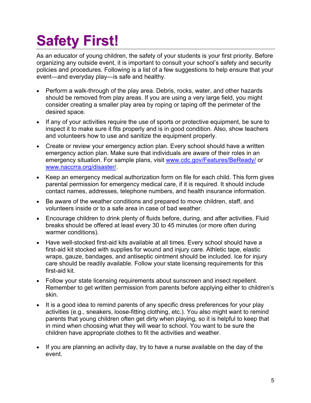### **Safety First!**

As an educator of young children, the safety of your students is your first priority. Before organizing any outside event, it is important to consult your school's safety and security policies and procedures. Following is a list of a few suggestions to help ensure that your event―and everyday play―is safe and healthy.

- Perform a walk-through of the play area. Debris, rocks, water, and other hazards should be removed from play areas. If you are using a very large field, you might consider creating a smaller play area by roping or taping off the perimeter of the desired space.
- If any of your activities require the use of sports or protective equipment, be sure to inspect it to make sure it fits properly and is in good condition. Also, show teachers and volunteers how to use and sanitize the equipment properly.
- Create or review your emergency action plan. Every school should have a written emergency action plan. Make sure that individuals are aware of their roles in an emergency situation. For sample plans, visit www.cdc.gov/Features/BeReady/ or www.naccrra.org/disaster/.
- Keep an emergency medical authorization form on file for each child. This form gives parental permission for emergency medical care, if it is required. It should include contact names, addresses, telephone numbers, and health insurance information.
- Be aware of the weather conditions and prepared to move children, staff, and volunteers inside or to a safe area in case of bad weather.
- Encourage children to drink plenty of fluids before, during, and after activities. Fluid breaks should be offered at least every 30 to 45 minutes (or more often during warmer conditions).
- Have well-stocked first-aid kits available at all times. Every school should have a first-aid kit stocked with supplies for wound and injury care. Athletic tape, elastic wraps, gauze, bandages, and antiseptic ointment should be included. Ice for injury care should be readily available. Follow your state licensing requirements for this first-aid kit.
- Follow your state licensing requirements about sunscreen and insect repellent. Remember to get written permission from parents before applying either to children's skin.
- It is a good idea to remind parents of any specific dress preferences for your play activities (e.g., sneakers, loose-fitting clothing, etc.). You also might want to remind parents that young children often get dirty when playing, so it is helpful to keep that in mind when choosing what they will wear to school. You want to be sure the children have appropriate clothes to fit the activities and weather.
- If you are planning an activity day, try to have a nurse available on the day of the event.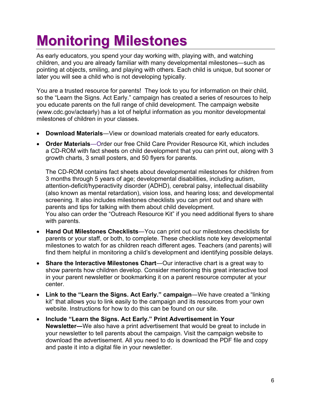#### **Monitoring Milestones**

As early educators, you spend your day working with, playing with, and watching children, and you are already familiar with many developmental milestones―such as pointing at objects, smiling, and playing with others. Each child is unique, but sooner or later you will see a child who is not developing typically.

You are a trusted resource for parents! They look to you for information on their child, so the "Learn the Signs. Act Early." campaign has created a series of resources to help you educate parents on the full range of child development. The campaign website (www.cdc.gov/actearly) has a lot of helpful information as you monitor developmental milestones of children in your classes.

- **Download Materials**—View or download materials created for early educators.
- **Order Materials**—Order our free Child Care Provider Resource Kit, which includes a CD-ROM with fact sheets on child development that you can print out, along with 3 growth charts, 3 small posters, and 50 flyers for parents.

The CD-ROM contains fact sheets about developmental milestones for children from 3 months through 5 years of age; developmental disabilities, including autism, attention-deficit/hyperactivity disorder (ADHD), cerebral palsy, intellectual disability (also known as mental retardation), vision loss, and hearing loss; and developmental screening. It also includes milestones checklists you can print out and share with parents and tips for talking with them about child development. You also can order the "Outreach Resource Kit" if you need additional flyers to share with parents.

- **Hand Out Milestones Checklists**—You can print out our milestones checklists for parents or your staff, or both, to complete. These checklists note key developmental milestones to watch for as children reach different ages. Teachers (and parents) will find them helpful in monitoring a child's development and identifying possible delays.
- **Share the Interactive Milestones Chart**—Our interactive chart is a great way to show parents how children develop. Consider mentioning this great interactive tool in your parent newsletter or bookmarking it on a parent resource computer at your center.
- Link to the "Learn the Signs. Act Early." campaign—We have created a "linking" kit" that allows you to link easily to the campaign and its resources from your own website. Instructions for how to do this can be found on our site.
- • **Include "Learn the Signs. Act Early." Print Advertisement in Your Newsletter―**We also have a print advertisement that would be great to include in your newsletter to tell parents about the campaign. Visit the campaign website to download the advertisement. All you need to do is download the PDF file and copy and paste it into a digital file in your newsletter.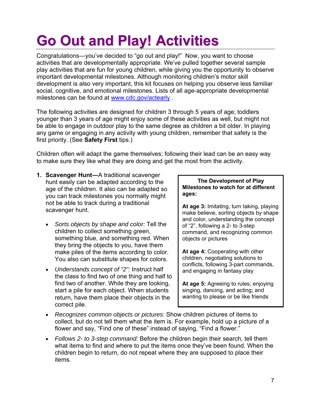### **Go Out and Play! Activities**

Congratulations―you've decided to "go out and play!" Now, you want to choose activities that are developmentally appropriate. We've pulled together several sample play activities that are fun for young children, while giving you the opportunity to observe important developmental milestones. Although monitoring children's motor skill development is also very important, this kit focuses on helping you observe less familiar social, cognitive, and emotional milestones. Lists of all age-appropriate developmental milestones can be found at www.cdc.gov/actearly .

The following activities are designed for children 3 through 5 years of age; toddlers younger than 3 years of age might enjoy some of these activities as well, but might not be able to engage in outdoor play to the same degree as children a bit older. In playing any game or engaging in any activity with young children, remember that safety is the first priority. (See **Safety First** tips.)

Children often will adapt the game themselves; following their lead can be an easy way to make sure they like what they are doing and get the most from the activity.

- **1. Scavenger Hunt―**A traditional scavenger hunt easily can be adapted according to the **The Development of Play**<br>age of the children, It also can be adapted so **Milestones to watch for at different** age of the children. It also can be adapted so **Milest** ages: **ages:** you can track milestones you normally might not be able to track during a traditional **At age 3:** Imitating, turn taking, playing scavenger hunt.
	- something blue, and something red. When  $\parallel$  objects or pictures they bring the objects to you, have them make piles of the items according to color. **At age 4:** Cooperating with other<br>You also can substitute shanes for colors children, negotiating solutions to
	- Understands concept of "2": Instruct half and engaging in fantasy play the class to find two of one thing and half to find two of another. While they are looking, **At age 5:** Agreeing to rules; enjoying start a pile for each object. When students start and acting, and acting; and return, have them place their objects in the standing to please or be like friends return, have them place their objects in the correct pile.

Sorts objects by shape and color: Tell the and color, understanding the concept children to collect something green, command, and recognizing common

You also can substitute shapes for colors. <br>conflicts, following 3-part commands,

- • *Recognizes common objects or pictures:* Show children pictures of items to collect, but do not tell them what the item is. For example, hold up a picture of a flower and say, "Find one of these" instead of saying, "Find a flower."
- **Follows 2- to 3-step command: Before the children begin their search, tell them** what items to find and where to put the items once they've been found. When the children begin to return, do not repeat where they are supposed to place their items.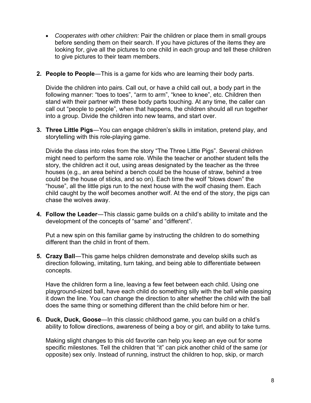- • *Cooperates with other children:* Pair the children or place them in small groups before sending them on their search. If you have pictures of the items they are looking for, give all the pictures to one child in each group and tell these children to give pictures to their team members.
- **2. People to People**―This is a game for kids who are learning their body parts.

Divide the children into pairs. Call out, or have a child call out, a body part in the following manner: "toes to toes", "arm to arm", "knee to knee", etc. Children then stand with their partner with these body parts touching. At any time, the caller can call out "people to people", when that happens, the children should all run together into a group. Divide the children into new teams, and start over.

**3. Three Little Pigs**―You can engage children's skills in imitation, pretend play, and storytelling with this role-playing game.

Divide the class into roles from the story "The Three Little Pigs". Several children might need to perform the same role. While the teacher or another student tells the story, the children act it out, using areas designated by the teacher as the three houses (e.g., an area behind a bench could be the house of straw, behind a tree could be the house of sticks, and so on). Each time the wolf "blows down" the "house", all the little pigs run to the next house with the wolf chasing them. Each child caught by the wolf becomes another wolf. At the end of the story, the pigs can chase the wolves away.

**4. Follow the Leader**―This classic game builds on a child's ability to imitate and the development of the concepts of "same" and "different".

Put a new spin on this familiar game by instructing the children to do something different than the child in front of them.

**5. Crazy Ball**―This game helps children demonstrate and develop skills such as direction following, imitating, turn taking, and being able to differentiate between concepts.

Have the children form a line, leaving a few feet between each child. Using one playground-sized ball, have each child do something silly with the ball while passing it down the line. You can change the direction to alter whether the child with the ball does the same thing or something different than the child before him or her.

**6. Duck, Duck, Goose**―In this classic childhood game, you can build on a child's ability to follow directions, awareness of being a boy or girl, and ability to take turns.

Making slight changes to this old favorite can help you keep an eye out for some specific milestones. Tell the children that "it" can pick another child of the same (or opposite) sex only. Instead of running, instruct the children to hop, skip, or march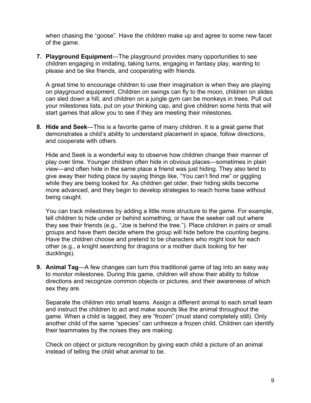when chasing the "goose". Have the children make up and agree to some new facet of the game.

**7. Playground Equipment**―The playground provides many opportunities to see children engaging in imitating, taking turns, engaging in fantasy play, wanting to please and be like friends, and cooperating with friends.

A great time to encourage children to use their imagination is when they are playing on playground equipment. Children on swings can fly to the moon, children on slides can sled down a hill, and children on a jungle gym can be monkeys in trees. Pull out your milestones lists, put on your thinking cap, and give children some hints that will start games that allow you to see if they are meeting their milestones.

**8. Hide and Seek**―This is a favorite game of many children. It is a great game that demonstrates a child's ability to understand placement in space, follow directions, and cooperate with others.

Hide and Seek is a wonderful way to observe how children change their manner of play over time. Younger children often hide in obvious places―sometimes in plain view―and often hide in the same place a friend was just hiding. They also tend to give away their hiding place by saying things like, "You can't find me" or giggling while they are being looked for. As children get older, their hiding skills become more advanced, and they begin to develop strategies to reach home base without being caught.

You can track milestones by adding a little more structure to the game. For example, tell children to hide under or behind something, or have the seeker call out where they see their friends (e.g., "Joe is behind the tree."). Place children in pairs or small groups and have them decide where the group will hide before the counting begins. Have the children choose and pretend to be characters who might look for each other (e.g., a knight searching for dragons or a mother duck looking for her ducklings).

**9. Animal Tag**―A few changes can turn this traditional game of tag into an easy way to monitor milestones. During this game, children will show their ability to follow directions and recognize common objects or pictures, and their awareness of which sex they are.

Separate the children into small teams. Assign a different animal to each small team and instruct the children to act and make sounds like the animal throughout the game. When a child is tagged, they are "frozen" (must stand completely still). Only another child of the same "species" can unfreeze a frozen child. Children can identify their teammates by the noises they are making.

Check on object or picture recognition by giving each child a picture of an animal instead of telling the child what animal to be.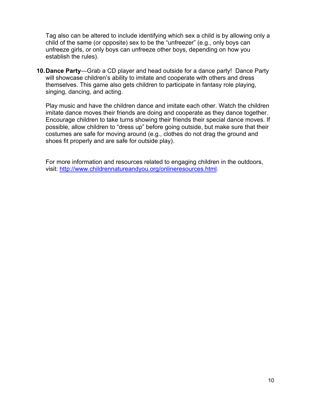Tag also can be altered to include identifying which sex a child is by allowing only a child of the same (or opposite) sex to be the "unfreezer" (e.g., only boys can unfreeze girls, or only boys can unfreeze other boys, depending on how you establish the rules).

**10. Dance Party**―Grab a CD player and head outside for a dance party! Dance Party will showcase children's ability to imitate and cooperate with others and dress themselves. This game also gets children to participate in fantasy role playing, singing, dancing, and acting.

Play music and have the children dance and imitate each other. Watch the children imitate dance moves their friends are doing and cooperate as they dance together. Encourage children to take turns showing their friends their special dance moves. If possible, allow children to "dress up" before going outside, but make sure that their costumes are safe for moving around (e.g., clothes do not drag the ground and shoes fit properly and are safe for outside play).

For more information and resources related to engaging children in the outdoors, visit: http://www.childrennatureandyou.org/onlineresources.html.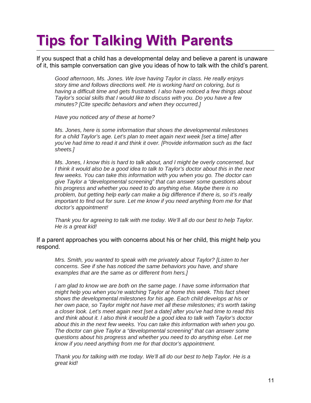### **Tips for Talking With Parents**

If you suspect that a child has a developmental delay and believe a parent is unaware of it, this sample conversation can give you ideas of how to talk with the child's parent.

*Good afternoon, Ms. Jones. We love having Taylor in class. He really enjoys story time and follows directions well. He is working hard on coloring, but is having a difficult time and gets frustrated. I also have noticed a few things about Taylor's social skills that I would like to discuss with you. Do you have a few minutes? [Cite specific behaviors and when they occurred.]* 

*Have you noticed any of these at home?* 

*Ms. Jones, here is some information that shows the developmental milestones for a child Taylor's age. Let's plan to meet again next week [set a time] after you've had time to read it and think it over. [Provide information such as the fact sheets.]* 

*Ms. Jones, I know this is hard to talk about, and I might be overly concerned, but I think it would also be a good idea to talk to Taylor's doctor about this in the next few weeks. You can take this information with you when you go. The doctor can give Taylor a "developmental screening" that can answer some questions about his progress and whether you need to do anything else. Maybe there is no problem, but getting help early can make a big difference if there is, so it's really important to find out for sure. Let me know if you need anything from me for that doctor's appointment!* 

*Thank you for agreeing to talk with me today. We'll all do our best to help Taylor. He is a great kid!* 

If a parent approaches you with concerns about his or her child, this might help you respond.

*Mrs. Smith, you wanted to speak with me privately about Taylor? [Listen to her concerns. See if she has noticed the same behaviors you have, and share examples that are the same as or different from hers.]* 

*I am glad to know we are both on the same page. I have some information that might help you when you're watching Taylor at home this week. This fact sheet shows the developmental milestones for his age. Each child develops at his or her own pace, so Taylor might not have met all these milestones; it's worth taking a closer look. Let's meet again next [set a date] after you've had time to read this and think about it. I also think it would be a good idea to talk with Taylor's doctor about this in the next few weeks. You can take this information with when you go. The doctor can give Taylor a "developmental screening" that can answer some questions about his progress and whether you need to do anything else. Let me know if you need anything from me for that doctor's appointment.* 

*Thank you for talking with me today. We'll all do our best to help Taylor. He is a great kid!*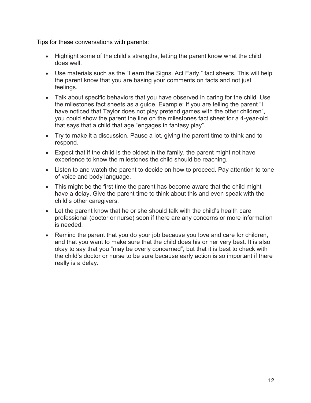Tips for these conversations with parents:

- Highlight some of the child's strengths, letting the parent know what the child does well.
- Use materials such as the "Learn the Signs. Act Early." fact sheets. This will help the parent know that you are basing your comments on facts and not just feelings.
- Talk about specific behaviors that you have observed in caring for the child. Use the milestones fact sheets as a guide. Example: If you are telling the parent "I have noticed that Taylor does not play pretend games with the other children", you could show the parent the line on the milestones fact sheet for a 4-year-old that says that a child that age "engages in fantasy play".
- Try to make it a discussion. Pause a lot, giving the parent time to think and to respond.
- Expect that if the child is the oldest in the family, the parent might not have experience to know the milestones the child should be reaching.
- Listen to and watch the parent to decide on how to proceed. Pay attention to tone of voice and body language.
- This might be the first time the parent has become aware that the child might have a delay. Give the parent time to think about this and even speak with the child's other caregivers.
- Let the parent know that he or she should talk with the child's health care professional (doctor or nurse) soon if there are any concerns or more information is needed.
- Remind the parent that you do your job because you love and care for children, and that you want to make sure that the child does his or her very best. It is also okay to say that you "may be overly concerned", but that it is best to check with the child's doctor or nurse to be sure because early action is so important if there really is a delay.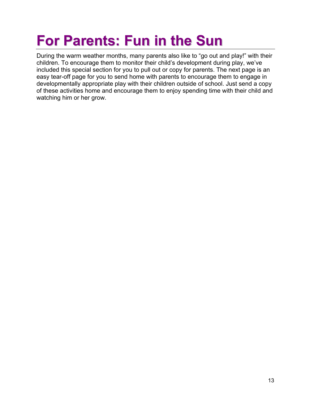#### **For Parents: Fun in the Sun**

During the warm weather months, many parents also like to "go out and play!" with their children. To encourage them to monitor their child's development during play, we've included this special section for you to pull out or copy for parents. The next page is an easy tear-off page for you to send home with parents to encourage them to engage in developmentally appropriate play with their children outside of school. Just send a copy of these activities home and encourage them to enjoy spending time with their child and watching him or her grow.